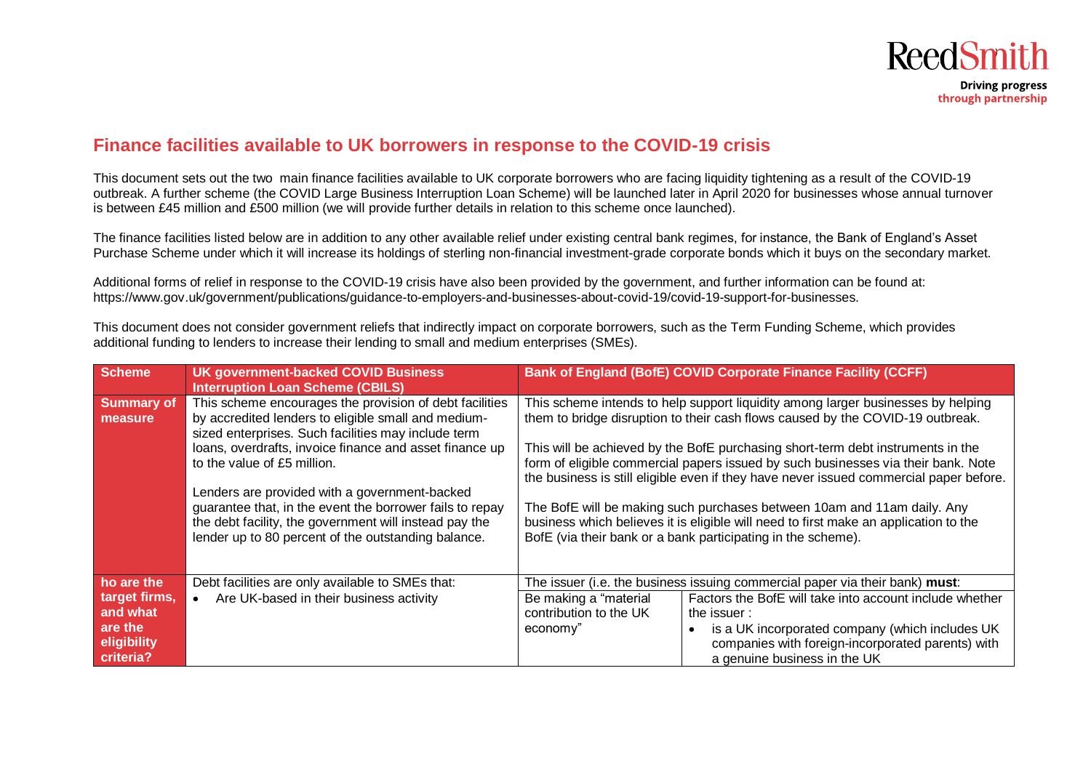

## **Finance facilities available to UK borrowers in response to the COVID-19 crisis**

This document sets out the two main finance facilities available to UK corporate borrowers who are facing liquidity tightening as a result of the COVID-19 outbreak. A further scheme (the COVID Large Business Interruption Loan Scheme) will be launched later in April 2020 for businesses whose annual turnover is between £45 million and £500 million (we will provide further details in relation to this scheme once launched).

The finance facilities listed below are in addition to any other available relief under existing central bank regimes, for instance, the Bank of England's Asset Purchase Scheme under which it will increase its holdings of sterling non-financial investment-grade corporate bonds which it buys on the secondary market.

Additional forms of relief in response to the COVID-19 crisis have also been provided by the government, and further information can be found at: https://www.gov.uk/government/publications/guidance-to-employers-and-businesses-about-covid-19/covid-19-support-for-businesses.

This document does not consider government reliefs that indirectly impact on corporate borrowers, such as the Term Funding Scheme, which provides additional funding to lenders to increase their lending to small and medium enterprises (SMEs).

| <b>Scheme</b>                                                    | <b>UK government-backed COVID Business</b><br><b>Interruption Loan Scheme (CBILS)</b>                                                                                                                                                                                                                                                                                                                                                                                                         |                                                             | <b>Bank of England (BofE) COVID Corporate Finance Facility (CCFF)</b>                                                                                                                                                                                                                                                                                                                                                                                                                                                                                                                                                                                                   |
|------------------------------------------------------------------|-----------------------------------------------------------------------------------------------------------------------------------------------------------------------------------------------------------------------------------------------------------------------------------------------------------------------------------------------------------------------------------------------------------------------------------------------------------------------------------------------|-------------------------------------------------------------|-------------------------------------------------------------------------------------------------------------------------------------------------------------------------------------------------------------------------------------------------------------------------------------------------------------------------------------------------------------------------------------------------------------------------------------------------------------------------------------------------------------------------------------------------------------------------------------------------------------------------------------------------------------------------|
| <b>Summary of</b><br>measure                                     | This scheme encourages the provision of debt facilities<br>by accredited lenders to eligible small and medium-<br>sized enterprises. Such facilities may include term<br>loans, overdrafts, invoice finance and asset finance up<br>to the value of £5 million.<br>Lenders are provided with a government-backed<br>guarantee that, in the event the borrower fails to repay<br>the debt facility, the government will instead pay the<br>lender up to 80 percent of the outstanding balance. |                                                             | This scheme intends to help support liquidity among larger businesses by helping<br>them to bridge disruption to their cash flows caused by the COVID-19 outbreak.<br>This will be achieved by the BofE purchasing short-term debt instruments in the<br>form of eligible commercial papers issued by such businesses via their bank. Note<br>the business is still eligible even if they have never issued commercial paper before.<br>The BofE will be making such purchases between 10am and 11am daily. Any<br>business which believes it is eligible will need to first make an application to the<br>BofE (via their bank or a bank participating in the scheme). |
|                                                                  |                                                                                                                                                                                                                                                                                                                                                                                                                                                                                               |                                                             |                                                                                                                                                                                                                                                                                                                                                                                                                                                                                                                                                                                                                                                                         |
| ho are the                                                       | Debt facilities are only available to SMEs that:                                                                                                                                                                                                                                                                                                                                                                                                                                              |                                                             | The issuer (i.e. the business issuing commercial paper via their bank) must:                                                                                                                                                                                                                                                                                                                                                                                                                                                                                                                                                                                            |
| target firms,<br>and what<br>are the<br>eligibility<br>criteria? | Are UK-based in their business activity<br>$\bullet$                                                                                                                                                                                                                                                                                                                                                                                                                                          | Be making a "material<br>contribution to the UK<br>economy" | Factors the BofE will take into account include whether<br>the issuer:<br>is a UK incorporated company (which includes UK<br>$\bullet$<br>companies with foreign-incorporated parents) with<br>a genuine business in the UK                                                                                                                                                                                                                                                                                                                                                                                                                                             |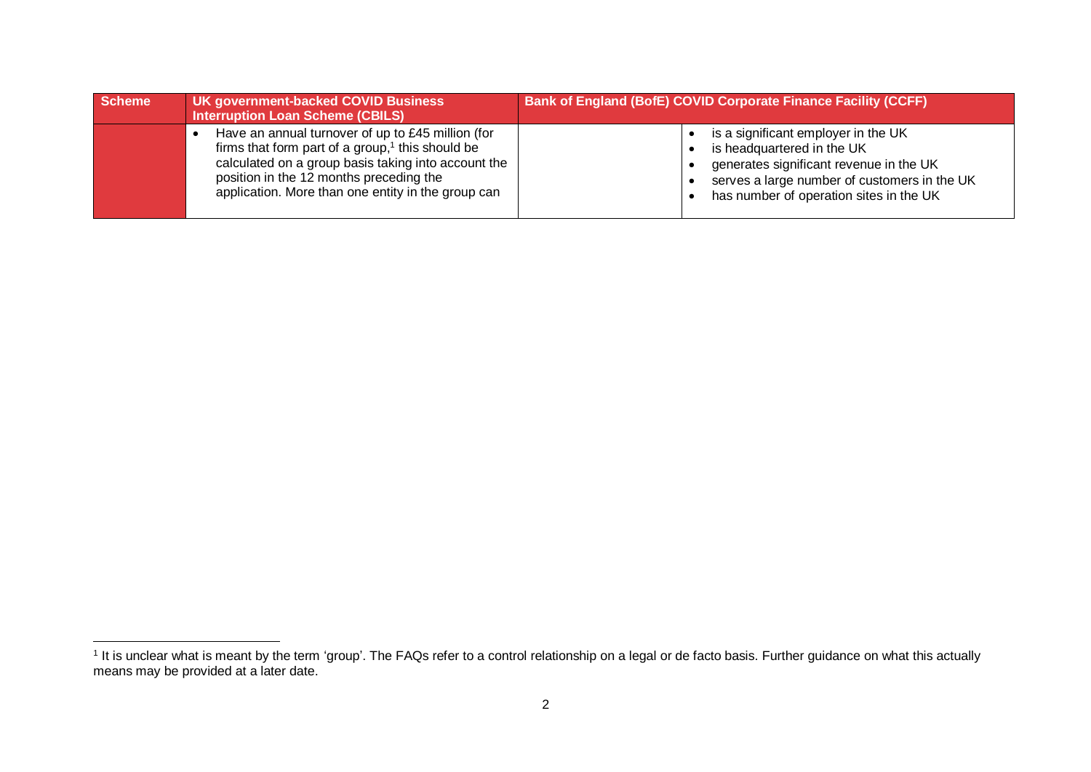| <b>Scheme</b> | UK government-backed COVID Business<br><b>Interruption Loan Scheme (CBILS)</b>                                                                                                                                                                                   | <b>Bank of England (BofE) COVID Corporate Finance Facility (CCFF)</b>                                                                                                                                   |  |
|---------------|------------------------------------------------------------------------------------------------------------------------------------------------------------------------------------------------------------------------------------------------------------------|---------------------------------------------------------------------------------------------------------------------------------------------------------------------------------------------------------|--|
|               | Have an annual turnover of up to £45 million (for<br>firms that form part of a group, $1$ this should be<br>calculated on a group basis taking into account the<br>position in the 12 months preceding the<br>application. More than one entity in the group can | is a significant employer in the UK<br>is headquartered in the UK<br>generates significant revenue in the UK<br>serves a large number of customers in the UK<br>has number of operation sites in the UK |  |

<sup>&</sup>lt;u>ness</u><br>I It is unclear what is meant by the term 'group'. The FAQs refer to a control relationship on a legal or de facto basis. Further guidance on what this actually means may be provided at a later date.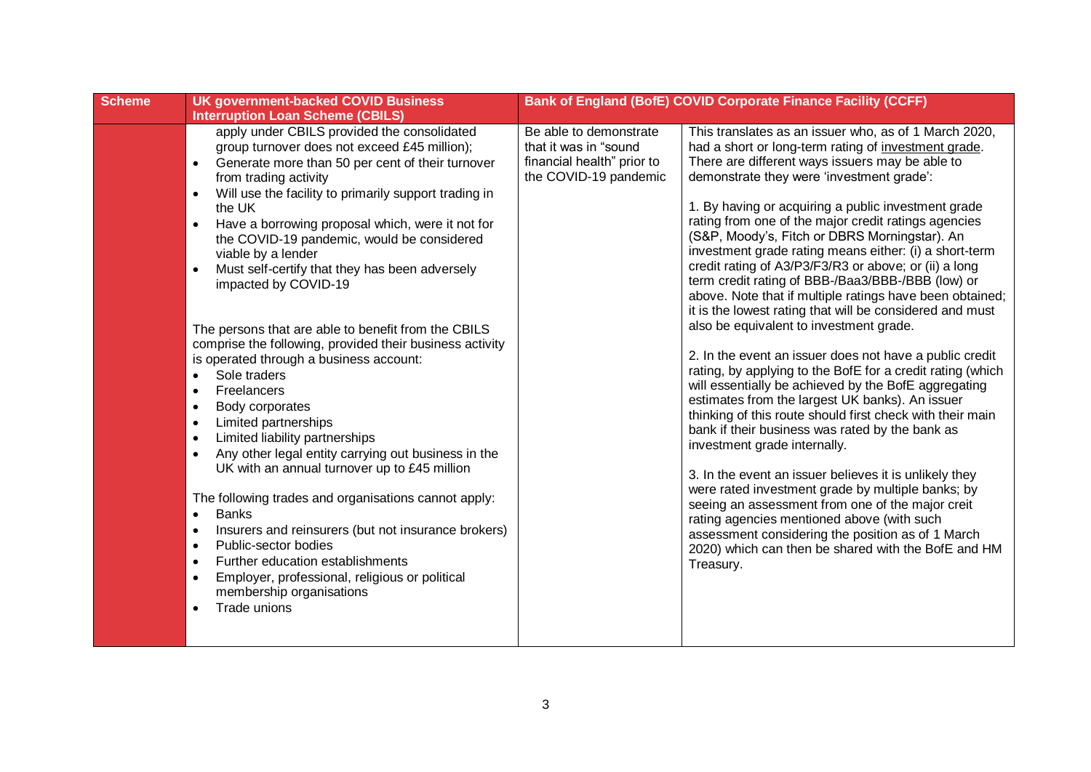| <b>Scheme</b> | <b>UK government-backed COVID Business</b>                                                                                                                                                                                                                                                                                                                                                                                                                                                                                                                                                                                                                                                                                                                                                                                                                                                                                                                                                                                                                                                                                                                                                                                                                                                                                              |                                                                                                        | Bank of England (BofE) COVID Corporate Finance Facility (CCFF)                                                                                                                                                                                                                                                                                                                                                                                                                                                                                                                                                                                                                                                                                                                                                                                                                                                                                                                                                                                                                                                                                                                                                                                                                                                                                                                                                                                         |
|---------------|-----------------------------------------------------------------------------------------------------------------------------------------------------------------------------------------------------------------------------------------------------------------------------------------------------------------------------------------------------------------------------------------------------------------------------------------------------------------------------------------------------------------------------------------------------------------------------------------------------------------------------------------------------------------------------------------------------------------------------------------------------------------------------------------------------------------------------------------------------------------------------------------------------------------------------------------------------------------------------------------------------------------------------------------------------------------------------------------------------------------------------------------------------------------------------------------------------------------------------------------------------------------------------------------------------------------------------------------|--------------------------------------------------------------------------------------------------------|--------------------------------------------------------------------------------------------------------------------------------------------------------------------------------------------------------------------------------------------------------------------------------------------------------------------------------------------------------------------------------------------------------------------------------------------------------------------------------------------------------------------------------------------------------------------------------------------------------------------------------------------------------------------------------------------------------------------------------------------------------------------------------------------------------------------------------------------------------------------------------------------------------------------------------------------------------------------------------------------------------------------------------------------------------------------------------------------------------------------------------------------------------------------------------------------------------------------------------------------------------------------------------------------------------------------------------------------------------------------------------------------------------------------------------------------------------|
|               | <b>Interruption Loan Scheme (CBILS)</b>                                                                                                                                                                                                                                                                                                                                                                                                                                                                                                                                                                                                                                                                                                                                                                                                                                                                                                                                                                                                                                                                                                                                                                                                                                                                                                 |                                                                                                        |                                                                                                                                                                                                                                                                                                                                                                                                                                                                                                                                                                                                                                                                                                                                                                                                                                                                                                                                                                                                                                                                                                                                                                                                                                                                                                                                                                                                                                                        |
|               | apply under CBILS provided the consolidated<br>group turnover does not exceed £45 million);<br>Generate more than 50 per cent of their turnover<br>$\bullet$<br>from trading activity<br>Will use the facility to primarily support trading in<br>$\bullet$<br>the UK<br>Have a borrowing proposal which, were it not for<br>$\bullet$<br>the COVID-19 pandemic, would be considered<br>viable by a lender<br>Must self-certify that they has been adversely<br>$\bullet$<br>impacted by COVID-19<br>The persons that are able to benefit from the CBILS<br>comprise the following, provided their business activity<br>is operated through a business account:<br>Sole traders<br>$\bullet$<br>Freelancers<br>$\bullet$<br>Body corporates<br>$\bullet$<br>Limited partnerships<br>$\bullet$<br>Limited liability partnerships<br>$\bullet$<br>Any other legal entity carrying out business in the<br>$\bullet$<br>UK with an annual turnover up to £45 million<br>The following trades and organisations cannot apply:<br><b>Banks</b><br>$\bullet$<br>Insurers and reinsurers (but not insurance brokers)<br>$\bullet$<br>Public-sector bodies<br>$\bullet$<br>Further education establishments<br>$\bullet$<br>Employer, professional, religious or political<br>$\bullet$<br>membership organisations<br>Trade unions<br>$\bullet$ | Be able to demonstrate<br>that it was in "sound<br>financial health" prior to<br>the COVID-19 pandemic | This translates as an issuer who, as of 1 March 2020,<br>had a short or long-term rating of investment grade.<br>There are different ways issuers may be able to<br>demonstrate they were 'investment grade':<br>1. By having or acquiring a public investment grade<br>rating from one of the major credit ratings agencies<br>(S&P, Moody's, Fitch or DBRS Morningstar). An<br>investment grade rating means either: (i) a short-term<br>credit rating of A3/P3/F3/R3 or above; or (ii) a long<br>term credit rating of BBB-/Baa3/BBB-/BBB (low) or<br>above. Note that if multiple ratings have been obtained;<br>it is the lowest rating that will be considered and must<br>also be equivalent to investment grade.<br>2. In the event an issuer does not have a public credit<br>rating, by applying to the BofE for a credit rating (which<br>will essentially be achieved by the BofE aggregating<br>estimates from the largest UK banks). An issuer<br>thinking of this route should first check with their main<br>bank if their business was rated by the bank as<br>investment grade internally.<br>3. In the event an issuer believes it is unlikely they<br>were rated investment grade by multiple banks; by<br>seeing an assessment from one of the major creit<br>rating agencies mentioned above (with such<br>assessment considering the position as of 1 March<br>2020) which can then be shared with the BofE and HM<br>Treasury. |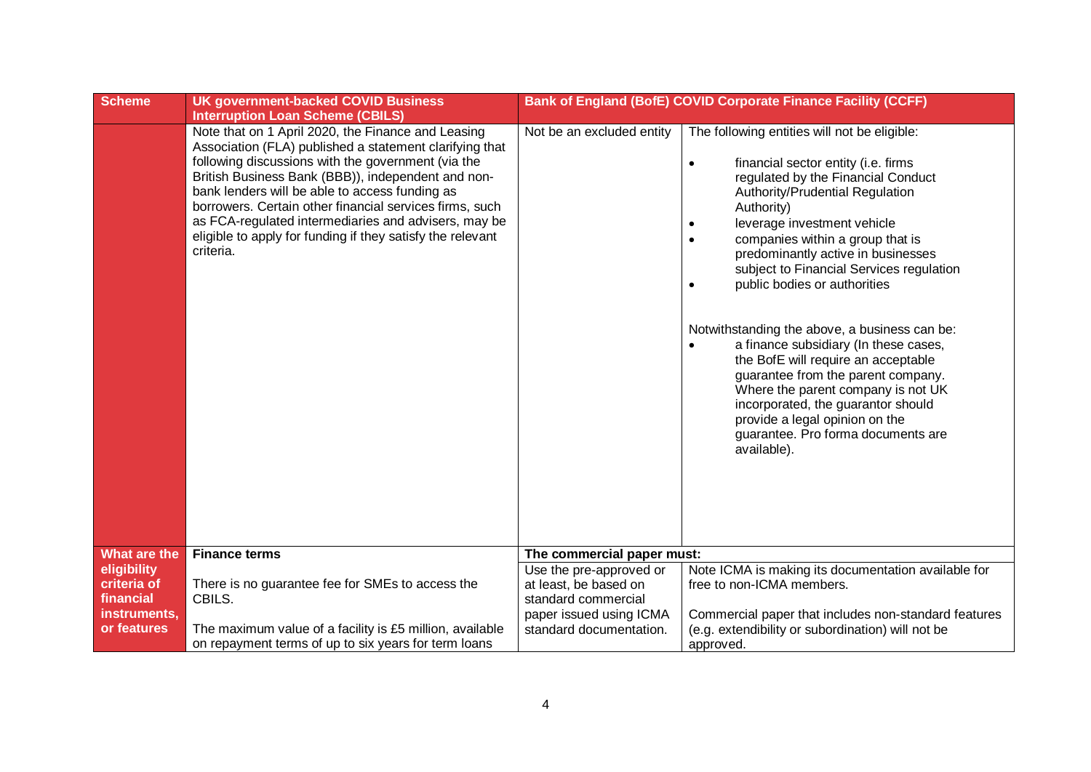| <b>Scheme</b>                                                          | <b>UK government-backed COVID Business</b>                                                                                                                                                                                                                                                                                                                                                                                                                                                                           |                                                                                                    | Bank of England (BofE) COVID Corporate Finance Facility (CCFF)                                                                                                                                                                                                                                                                                                                                                                                                                                                                                                                                                                                                                                                                                                             |
|------------------------------------------------------------------------|----------------------------------------------------------------------------------------------------------------------------------------------------------------------------------------------------------------------------------------------------------------------------------------------------------------------------------------------------------------------------------------------------------------------------------------------------------------------------------------------------------------------|----------------------------------------------------------------------------------------------------|----------------------------------------------------------------------------------------------------------------------------------------------------------------------------------------------------------------------------------------------------------------------------------------------------------------------------------------------------------------------------------------------------------------------------------------------------------------------------------------------------------------------------------------------------------------------------------------------------------------------------------------------------------------------------------------------------------------------------------------------------------------------------|
|                                                                        | <b>Interruption Loan Scheme (CBILS)</b><br>Note that on 1 April 2020, the Finance and Leasing<br>Association (FLA) published a statement clarifying that<br>following discussions with the government (via the<br>British Business Bank (BBB)), independent and non-<br>bank lenders will be able to access funding as<br>borrowers. Certain other financial services firms, such<br>as FCA-regulated intermediaries and advisers, may be<br>eligible to apply for funding if they satisfy the relevant<br>criteria. | Not be an excluded entity                                                                          | The following entities will not be eligible:<br>financial sector entity (i.e. firms<br>$\bullet$<br>regulated by the Financial Conduct<br>Authority/Prudential Regulation<br>Authority)<br>leverage investment vehicle<br>$\bullet$<br>companies within a group that is<br>$\bullet$<br>predominantly active in businesses<br>subject to Financial Services regulation<br>public bodies or authorities<br>$\bullet$<br>Notwithstanding the above, a business can be:<br>a finance subsidiary (In these cases,<br>$\bullet$<br>the BofE will require an acceptable<br>guarantee from the parent company.<br>Where the parent company is not UK<br>incorporated, the guarantor should<br>provide a legal opinion on the<br>guarantee. Pro forma documents are<br>available). |
| What are the                                                           | <b>Finance terms</b>                                                                                                                                                                                                                                                                                                                                                                                                                                                                                                 | The commercial paper must:                                                                         |                                                                                                                                                                                                                                                                                                                                                                                                                                                                                                                                                                                                                                                                                                                                                                            |
| eligibility<br>criteria of<br>financial<br>instruments,<br>or features | There is no guarantee fee for SMEs to access the<br>CBILS.                                                                                                                                                                                                                                                                                                                                                                                                                                                           | Use the pre-approved or<br>at least, be based on<br>standard commercial<br>paper issued using ICMA | Note ICMA is making its documentation available for<br>free to non-ICMA members.<br>Commercial paper that includes non-standard features                                                                                                                                                                                                                                                                                                                                                                                                                                                                                                                                                                                                                                   |
|                                                                        | The maximum value of a facility is £5 million, available<br>on repayment terms of up to six years for term loans                                                                                                                                                                                                                                                                                                                                                                                                     | standard documentation.                                                                            | (e.g. extendibility or subordination) will not be<br>approved.                                                                                                                                                                                                                                                                                                                                                                                                                                                                                                                                                                                                                                                                                                             |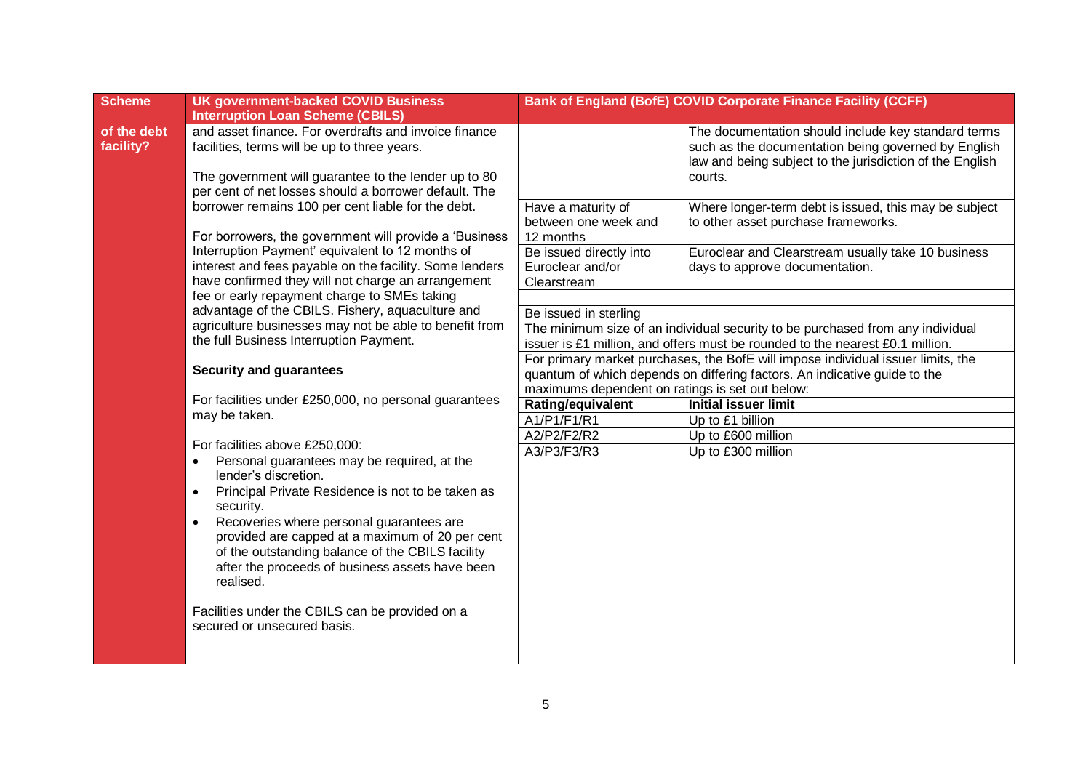| <b>Scheme</b>            | <b>UK government-backed COVID Business</b><br><b>Interruption Loan Scheme (CBILS)</b>                                                                                                                                                                                                                                                                                                                                                                                                |                                                                                                     | <b>Bank of England (BofE) COVID Corporate Finance Facility (CCFF)</b>                                                                                                             |  |
|--------------------------|--------------------------------------------------------------------------------------------------------------------------------------------------------------------------------------------------------------------------------------------------------------------------------------------------------------------------------------------------------------------------------------------------------------------------------------------------------------------------------------|-----------------------------------------------------------------------------------------------------|-----------------------------------------------------------------------------------------------------------------------------------------------------------------------------------|--|
| of the debt<br>facility? | and asset finance. For overdrafts and invoice finance<br>facilities, terms will be up to three years.<br>The government will guarantee to the lender up to 80<br>per cent of net losses should a borrower default. The                                                                                                                                                                                                                                                               |                                                                                                     | The documentation should include key standard terms<br>such as the documentation being governed by English<br>law and being subject to the jurisdiction of the English<br>courts. |  |
|                          | borrower remains 100 per cent liable for the debt.<br>For borrowers, the government will provide a 'Business'<br>Interruption Payment' equivalent to 12 months of<br>interest and fees payable on the facility. Some lenders<br>have confirmed they will not charge an arrangement                                                                                                                                                                                                   | Have a maturity of<br>between one week and<br>12 months                                             | Where longer-term debt is issued, this may be subject<br>to other asset purchase frameworks.                                                                                      |  |
|                          |                                                                                                                                                                                                                                                                                                                                                                                                                                                                                      | Be issued directly into<br>Euroclear and/or<br>Clearstream                                          | Euroclear and Clearstream usually take 10 business<br>days to approve documentation.                                                                                              |  |
|                          | fee or early repayment charge to SMEs taking                                                                                                                                                                                                                                                                                                                                                                                                                                         |                                                                                                     |                                                                                                                                                                                   |  |
|                          | advantage of the CBILS. Fishery, aquaculture and                                                                                                                                                                                                                                                                                                                                                                                                                                     | Be issued in sterling                                                                               |                                                                                                                                                                                   |  |
|                          | agriculture businesses may not be able to benefit from<br>the full Business Interruption Payment.                                                                                                                                                                                                                                                                                                                                                                                    |                                                                                                     | The minimum size of an individual security to be purchased from any individual<br>issuer is £1 million, and offers must be rounded to the nearest £0.1 million.                   |  |
|                          | <b>Security and guarantees</b>                                                                                                                                                                                                                                                                                                                                                                                                                                                       |                                                                                                     | For primary market purchases, the BofE will impose individual issuer limits, the<br>quantum of which depends on differing factors. An indicative guide to the                     |  |
|                          | For facilities under £250,000, no personal guarantees<br>may be taken.                                                                                                                                                                                                                                                                                                                                                                                                               | maximums dependent on ratings is set out below:<br>Rating/equivalent<br><b>Initial issuer limit</b> |                                                                                                                                                                                   |  |
|                          |                                                                                                                                                                                                                                                                                                                                                                                                                                                                                      | A1/P1/F1/R1                                                                                         | Up to £1 billion                                                                                                                                                                  |  |
|                          |                                                                                                                                                                                                                                                                                                                                                                                                                                                                                      | A2/P2/F2/R2                                                                                         | Up to £600 million                                                                                                                                                                |  |
|                          | For facilities above £250,000:<br>Personal guarantees may be required, at the<br>$\bullet$<br>lender's discretion.<br>Principal Private Residence is not to be taken as<br>$\bullet$<br>security.<br>Recoveries where personal guarantees are<br>$\bullet$<br>provided are capped at a maximum of 20 per cent<br>of the outstanding balance of the CBILS facility<br>after the proceeds of business assets have been<br>realised.<br>Facilities under the CBILS can be provided on a | A3/P3/F3/R3                                                                                         | Up to £300 million                                                                                                                                                                |  |
|                          | secured or unsecured basis.                                                                                                                                                                                                                                                                                                                                                                                                                                                          |                                                                                                     |                                                                                                                                                                                   |  |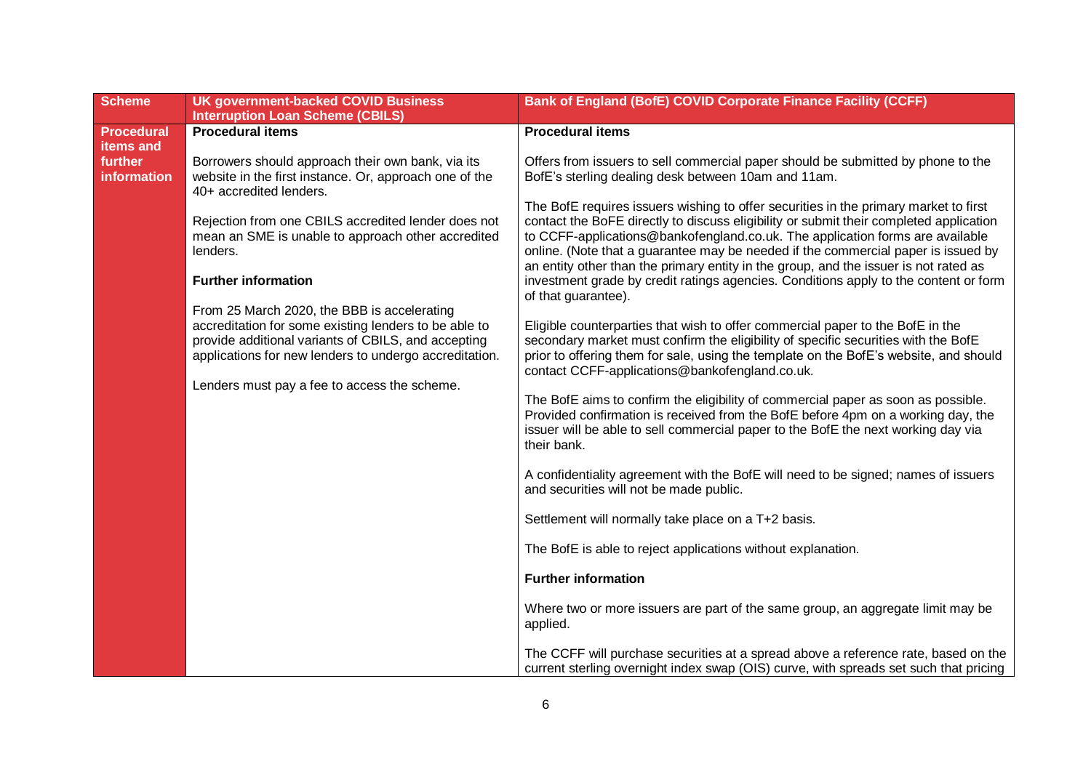| <b>Scheme</b>           | <b>UK government-backed COVID Business</b><br><b>Interruption Loan Scheme (CBILS)</b>                                                                                                                                  | Bank of England (BofE) COVID Corporate Finance Facility (CCFF)                                                                                                                                                                                                                                                                                                                                                                                                                                                                                              |
|-------------------------|------------------------------------------------------------------------------------------------------------------------------------------------------------------------------------------------------------------------|-------------------------------------------------------------------------------------------------------------------------------------------------------------------------------------------------------------------------------------------------------------------------------------------------------------------------------------------------------------------------------------------------------------------------------------------------------------------------------------------------------------------------------------------------------------|
| Procedural<br>items and | <b>Procedural items</b>                                                                                                                                                                                                | <b>Procedural items</b>                                                                                                                                                                                                                                                                                                                                                                                                                                                                                                                                     |
| further<br>information  | Borrowers should approach their own bank, via its<br>website in the first instance. Or, approach one of the<br>40+ accredited lenders.                                                                                 | Offers from issuers to sell commercial paper should be submitted by phone to the<br>BofE's sterling dealing desk between 10am and 11am.                                                                                                                                                                                                                                                                                                                                                                                                                     |
|                         | Rejection from one CBILS accredited lender does not<br>mean an SME is unable to approach other accredited<br>lenders.<br><b>Further information</b><br>From 25 March 2020, the BBB is accelerating                     | The BofE requires issuers wishing to offer securities in the primary market to first<br>contact the BoFE directly to discuss eligibility or submit their completed application<br>to CCFF-applications@bankofengland.co.uk. The application forms are available<br>online. (Note that a guarantee may be needed if the commercial paper is issued by<br>an entity other than the primary entity in the group, and the issuer is not rated as<br>investment grade by credit ratings agencies. Conditions apply to the content or form<br>of that guarantee). |
|                         | accreditation for some existing lenders to be able to<br>provide additional variants of CBILS, and accepting<br>applications for new lenders to undergo accreditation.<br>Lenders must pay a fee to access the scheme. | Eligible counterparties that wish to offer commercial paper to the BofE in the<br>secondary market must confirm the eligibility of specific securities with the BofE<br>prior to offering them for sale, using the template on the BofE's website, and should<br>contact CCFF-applications@bankofengland.co.uk.                                                                                                                                                                                                                                             |
|                         |                                                                                                                                                                                                                        | The BofE aims to confirm the eligibility of commercial paper as soon as possible.<br>Provided confirmation is received from the BofE before 4pm on a working day, the<br>issuer will be able to sell commercial paper to the BofE the next working day via<br>their bank.                                                                                                                                                                                                                                                                                   |
|                         |                                                                                                                                                                                                                        | A confidentiality agreement with the BofE will need to be signed; names of issuers<br>and securities will not be made public.                                                                                                                                                                                                                                                                                                                                                                                                                               |
|                         |                                                                                                                                                                                                                        | Settlement will normally take place on a T+2 basis.                                                                                                                                                                                                                                                                                                                                                                                                                                                                                                         |
|                         |                                                                                                                                                                                                                        | The BofE is able to reject applications without explanation.                                                                                                                                                                                                                                                                                                                                                                                                                                                                                                |
|                         |                                                                                                                                                                                                                        | <b>Further information</b>                                                                                                                                                                                                                                                                                                                                                                                                                                                                                                                                  |
|                         |                                                                                                                                                                                                                        | Where two or more issuers are part of the same group, an aggregate limit may be<br>applied.                                                                                                                                                                                                                                                                                                                                                                                                                                                                 |
|                         |                                                                                                                                                                                                                        | The CCFF will purchase securities at a spread above a reference rate, based on the<br>current sterling overnight index swap (OIS) curve, with spreads set such that pricing                                                                                                                                                                                                                                                                                                                                                                                 |